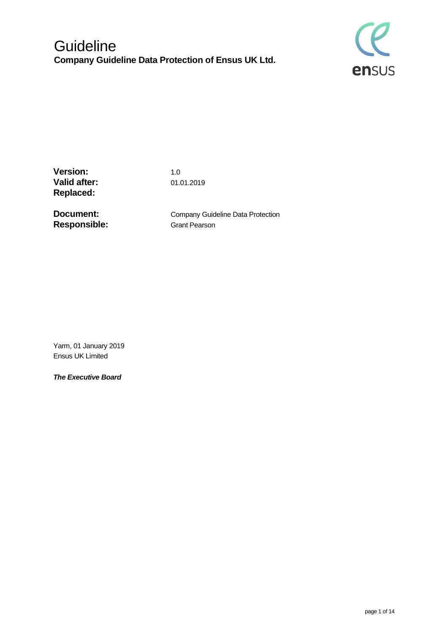

**Version:** 1.0 **Valid after:** 01.01.2019 **Replaced:**

**Responsible:** Grant Pearson

**Document:** Company Guideline Data Protection

Yarm, 01 January 2019 Ensus UK Limited

*The Executive Board*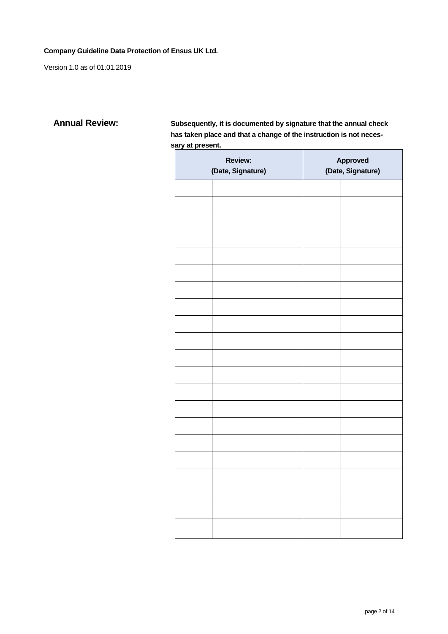Version 1.0 as of 01.01.2019

**Annual Review: Subsequently, it is documented by signature that the annual check has taken place and that a change of the instruction is not necessary at present.**

| <b>Review:</b><br>(Date, Signature) |  | Approved<br>(Date, Signature) |  |
|-------------------------------------|--|-------------------------------|--|
|                                     |  |                               |  |
|                                     |  |                               |  |
|                                     |  |                               |  |
|                                     |  |                               |  |
|                                     |  |                               |  |
|                                     |  |                               |  |
|                                     |  |                               |  |
|                                     |  |                               |  |
|                                     |  |                               |  |
|                                     |  |                               |  |
|                                     |  |                               |  |
|                                     |  |                               |  |
|                                     |  |                               |  |
|                                     |  |                               |  |
|                                     |  |                               |  |
|                                     |  |                               |  |
|                                     |  |                               |  |
|                                     |  |                               |  |
|                                     |  |                               |  |
|                                     |  |                               |  |
|                                     |  |                               |  |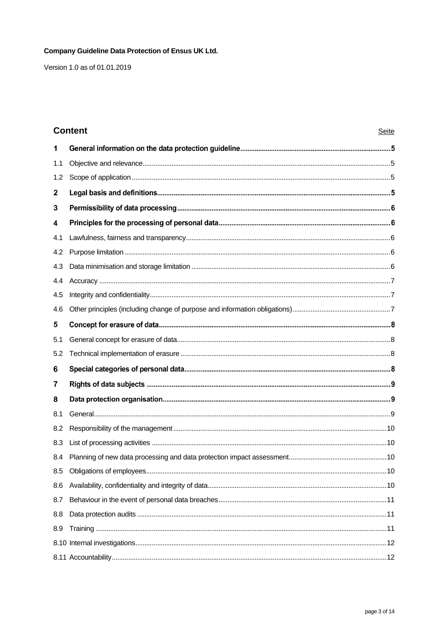Version 1.0 as of 01.01.2019

# **Content**

| 1   |  |
|-----|--|
| 1.1 |  |
| 1.2 |  |
| 2   |  |
| 3   |  |
| 4   |  |
| 4.1 |  |
| 4.2 |  |
| 4.3 |  |
| 4.4 |  |
| 4.5 |  |
| 4.6 |  |
| 5   |  |
| 5.1 |  |
| 5.2 |  |
| 6   |  |
| 7   |  |
| 8   |  |
| 8.1 |  |
| 8.2 |  |
| 8.3 |  |
| 8.4 |  |
| 8.5 |  |
| 8.6 |  |
| 8.7 |  |
| 8.8 |  |
| 8.9 |  |
|     |  |
|     |  |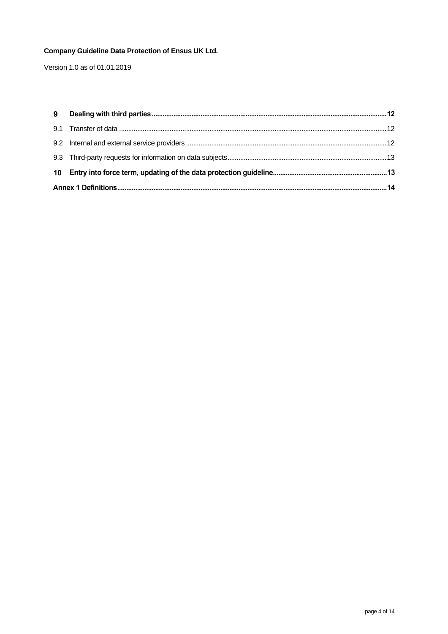Version 1.0 as of 01.01.2019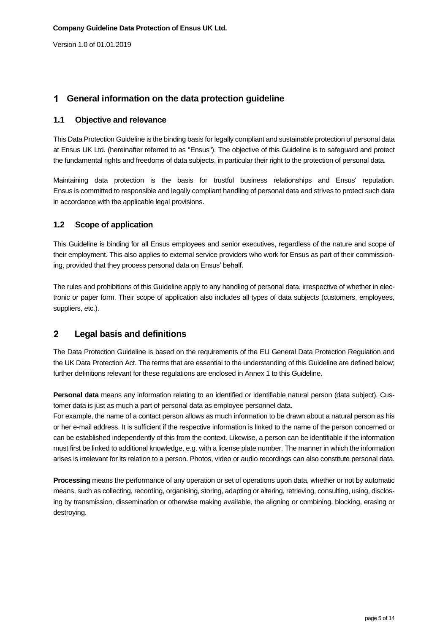# **General information on the data protection guideline**

### <span id="page-4-0"></span>**1.1 Objective and relevance**

This Data Protection Guideline is the binding basis for legally compliant and sustainable protection of personal data at Ensus UK Ltd. (hereinafter referred to as "Ensus"). The objective of this Guideline is to safeguard and protect the fundamental rights and freedoms of data subjects, in particular their right to the protection of personal data.

Maintaining data protection is the basis for trustful business relationships and Ensus' reputation. Ensus is committed to responsible and legally compliant handling of personal data and strives to protect such data in accordance with the applicable legal provisions.

### <span id="page-4-1"></span>**1.2 Scope of application**

This Guideline is binding for all Ensus employees and senior executives, regardless of the nature and scope of their employment. This also applies to external service providers who work for Ensus as part of their commissioning, provided that they process personal data on Ensus' behalf.

The rules and prohibitions of this Guideline apply to any handling of personal data, irrespective of whether in electronic or paper form. Their scope of application also includes all types of data subjects (customers, employees, suppliers, etc.).

#### $\overline{2}$ **Legal basis and definitions**

The Data Protection Guideline is based on the requirements of the EU General Data Protection Regulation and the UK Data Protection Act. The terms that are essential to the understanding of this Guideline are defined below; further definitions relevant for these regulations are enclosed in Annex 1 to this Guideline.

**Personal data** means any information relating to an identified or identifiable natural person (data subject). Customer data is just as much a part of personal data as employee personnel data.

For example, the name of a contact person allows as much information to be drawn about a natural person as his or her e-mail address. It is sufficient if the respective information is linked to the name of the person concerned or can be established independently of this from the context. Likewise, a person can be identifiable if the information must first be linked to additional knowledge, e.g. with a license plate number. The manner in which the information arises is irrelevant for its relation to a person. Photos, video or audio recordings can also constitute personal data.

**Processing** means the performance of any operation or set of operations upon data, whether or not by automatic means, such as collecting, recording, organising, storing, adapting or altering, retrieving, consulting, using, disclosing by transmission, dissemination or otherwise making available, the aligning or combining, blocking, erasing or destroying.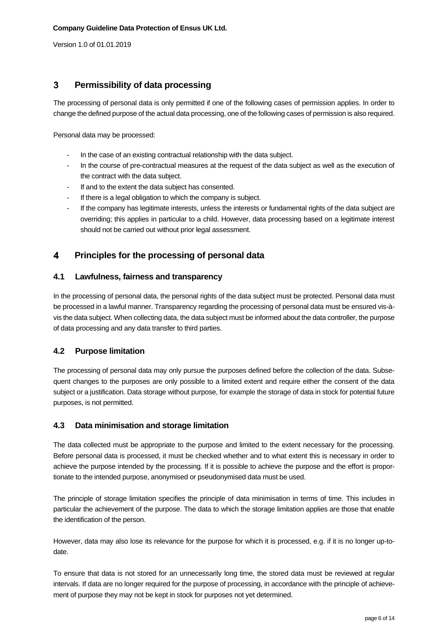#### $\mathbf{3}$ **Permissibility of data processing**

The processing of personal data is only permitted if one of the following cases of permission applies. In order to change the defined purpose of the actual data processing, one of the following cases of permission is also required.

Personal data may be processed:

- In the case of an existing contractual relationship with the data subject.
- In the course of pre-contractual measures at the request of the data subject as well as the execution of the contract with the data subject.
- If and to the extent the data subject has consented.
- If there is a legal obligation to which the company is subject.
- If the company has legitimate interests, unless the interests or fundamental rights of the data subject are overriding; this applies in particular to a child. However, data processing based on a legitimate interest should not be carried out without prior legal assessment.

#### $\overline{\mathbf{4}}$ **Principles for the processing of personal data**

### <span id="page-5-0"></span>**4.1 Lawfulness, fairness and transparency**

In the processing of personal data, the personal rights of the data subject must be protected. Personal data must be processed in a lawful manner. Transparency regarding the processing of personal data must be ensured vis-àvis the data subject. When collecting data, the data subject must be informed about the data controller, the purpose of data processing and any data transfer to third parties.

### <span id="page-5-1"></span>**4.2 Purpose limitation**

The processing of personal data may only pursue the purposes defined before the collection of the data. Subsequent changes to the purposes are only possible to a limited extent and require either the consent of the data subject or a justification. Data storage without purpose, for example the storage of data in stock for potential future purposes, is not permitted.

### <span id="page-5-2"></span>**4.3 Data minimisation and storage limitation**

The data collected must be appropriate to the purpose and limited to the extent necessary for the processing. Before personal data is processed, it must be checked whether and to what extent this is necessary in order to achieve the purpose intended by the processing. If it is possible to achieve the purpose and the effort is proportionate to the intended purpose, anonymised or pseudonymised data must be used.

The principle of storage limitation specifies the principle of data minimisation in terms of time. This includes in particular the achievement of the purpose. The data to which the storage limitation applies are those that enable the identification of the person.

However, data may also lose its relevance for the purpose for which it is processed, e.g. if it is no longer up-todate.

To ensure that data is not stored for an unnecessarily long time, the stored data must be reviewed at regular intervals. If data are no longer required for the purpose of processing, in accordance with the principle of achievement of purpose they may not be kept in stock for purposes not yet determined.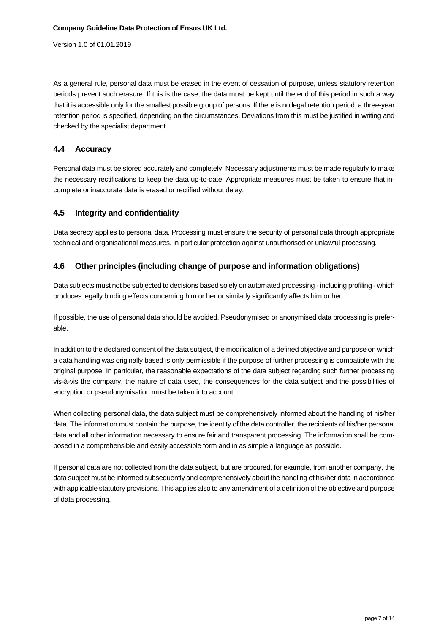As a general rule, personal data must be erased in the event of cessation of purpose, unless statutory retention periods prevent such erasure. If this is the case, the data must be kept until the end of this period in such a way that it is accessible only for the smallest possible group of persons. If there is no legal retention period, a three-year retention period is specified, depending on the circumstances. Deviations from this must be justified in writing and checked by the specialist department.

### <span id="page-6-0"></span>**4.4 Accuracy**

Personal data must be stored accurately and completely. Necessary adjustments must be made regularly to make the necessary rectifications to keep the data up-to-date. Appropriate measures must be taken to ensure that incomplete or inaccurate data is erased or rectified without delay.

### <span id="page-6-1"></span>**4.5 Integrity and confidentiality**

Data secrecy applies to personal data. Processing must ensure the security of personal data through appropriate technical and organisational measures, in particular protection against unauthorised or unlawful processing.

### <span id="page-6-2"></span>**4.6 Other principles (including change of purpose and information obligations)**

Data subjects must not be subjected to decisions based solely on automated processing - including profiling - which produces legally binding effects concerning him or her or similarly significantly affects him or her.

If possible, the use of personal data should be avoided. Pseudonymised or anonymised data processing is preferable.

In addition to the declared consent of the data subject, the modification of a defined objective and purpose on which a data handling was originally based is only permissible if the purpose of further processing is compatible with the original purpose. In particular, the reasonable expectations of the data subject regarding such further processing vis-à-vis the company, the nature of data used, the consequences for the data subject and the possibilities of encryption or pseudonymisation must be taken into account.

When collecting personal data, the data subject must be comprehensively informed about the handling of his/her data. The information must contain the purpose, the identity of the data controller, the recipients of his/her personal data and all other information necessary to ensure fair and transparent processing. The information shall be composed in a comprehensible and easily accessible form and in as simple a language as possible.

If personal data are not collected from the data subject, but are procured, for example, from another company, the data subject must be informed subsequently and comprehensively about the handling of his/her data in accordance with applicable statutory provisions. This applies also to any amendment of a definition of the objective and purpose of data processing.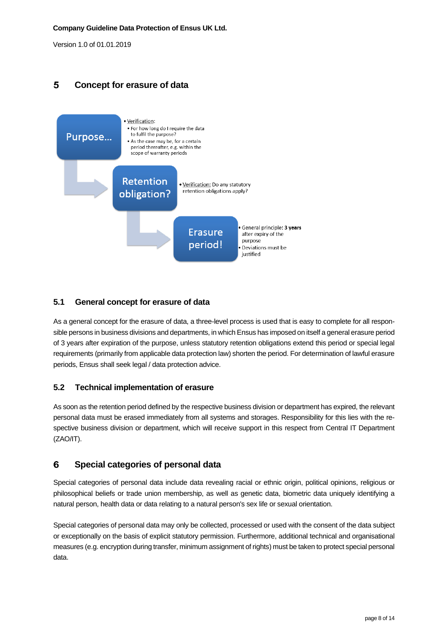### 5 **Concept for erasure of data**



# <span id="page-7-0"></span>**5.1 General concept for erasure of data**

As a general concept for the erasure of data, a three-level process is used that is easy to complete for all responsible persons in business divisions and departments, in which Ensus has imposed on itself a general erasure period of 3 years after expiration of the purpose, unless statutory retention obligations extend this period or special legal requirements (primarily from applicable data protection law) shorten the period. For determination of lawful erasure periods, Ensus shall seek legal / data protection advice.

### <span id="page-7-1"></span>**5.2 Technical implementation of erasure**

As soon as the retention period defined by the respective business division or department has expired, the relevant personal data must be erased immediately from all systems and storages. Responsibility for this lies with the respective business division or department, which will receive support in this respect from Central IT Department (ZAO/IT).

#### 6 **Special categories of personal data**

Special categories of personal data include data revealing racial or ethnic origin, political opinions, religious or philosophical beliefs or trade union membership, as well as genetic data, biometric data uniquely identifying a natural person, health data or data relating to a natural person's sex life or sexual orientation.

Special categories of personal data may only be collected, processed or used with the consent of the data subject or exceptionally on the basis of explicit statutory permission. Furthermore, additional technical and organisational measures (e.g. encryption during transfer, minimum assignment of rights) must be taken to protect special personal data.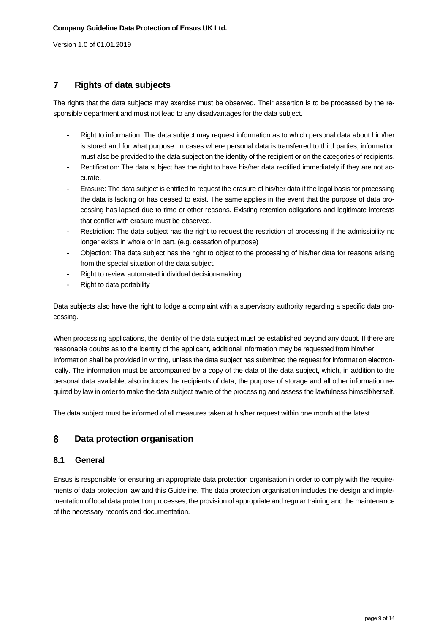#### $\overline{7}$ **Rights of data subjects**

The rights that the data subjects may exercise must be observed. Their assertion is to be processed by the responsible department and must not lead to any disadvantages for the data subject.

- Right to information: The data subject may request information as to which personal data about him/her is stored and for what purpose. In cases where personal data is transferred to third parties, information must also be provided to the data subject on the identity of the recipient or on the categories of recipients.
- Rectification: The data subject has the right to have his/her data rectified immediately if they are not accurate.
- Erasure: The data subject is entitled to request the erasure of his/her data if the legal basis for processing the data is lacking or has ceased to exist. The same applies in the event that the purpose of data processing has lapsed due to time or other reasons. Existing retention obligations and legitimate interests that conflict with erasure must be observed.
- Restriction: The data subject has the right to request the restriction of processing if the admissibility no longer exists in whole or in part. (e.g. cessation of purpose)
- Objection: The data subject has the right to object to the processing of his/her data for reasons arising from the special situation of the data subject.
- Right to review automated individual decision-making
- Right to data portability

Data subjects also have the right to lodge a complaint with a supervisory authority regarding a specific data processing.

When processing applications, the identity of the data subject must be established beyond any doubt. If there are reasonable doubts as to the identity of the applicant, additional information may be requested from him/her. Information shall be provided in writing, unless the data subject has submitted the request for information electronically. The information must be accompanied by a copy of the data of the data subject, which, in addition to the personal data available, also includes the recipients of data, the purpose of storage and all other information required by law in order to make the data subject aware of the processing and assess the lawfulness himself/herself.

The data subject must be informed of all measures taken at his/her request within one month at the latest.

#### 8 **Data protection organisation**

### <span id="page-8-0"></span>**8.1 General**

Ensus is responsible for ensuring an appropriate data protection organisation in order to comply with the requirements of data protection law and this Guideline. The data protection organisation includes the design and implementation of local data protection processes, the provision of appropriate and regular training and the maintenance of the necessary records and documentation.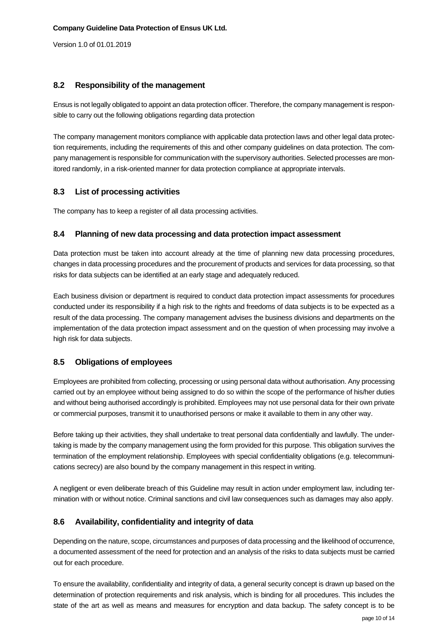### <span id="page-9-0"></span>**8.2 Responsibility of the management**

Ensus is not legally obligated to appoint an data protection officer. Therefore, the company management is responsible to carry out the following obligations regarding data protection

The company management monitors compliance with applicable data protection laws and other legal data protection requirements, including the requirements of this and other company guidelines on data protection. The company management is responsible for communication with the supervisory authorities. Selected processes are monitored randomly, in a risk-oriented manner for data protection compliance at appropriate intervals.

### <span id="page-9-1"></span>**8.3 List of processing activities**

<span id="page-9-2"></span>The company has to keep a register of all data processing activities.

### **8.4 Planning of new data processing and data protection impact assessment**

Data protection must be taken into account already at the time of planning new data processing procedures, changes in data processing procedures and the procurement of products and services for data processing, so that risks for data subjects can be identified at an early stage and adequately reduced.

Each business division or department is required to conduct data protection impact assessments for procedures conducted under its responsibility if a high risk to the rights and freedoms of data subjects is to be expected as a result of the data processing. The company management advises the business divisions and departments on the implementation of the data protection impact assessment and on the question of when processing may involve a high risk for data subjects.

### <span id="page-9-3"></span>**8.5 Obligations of employees**

Employees are prohibited from collecting, processing or using personal data without authorisation. Any processing carried out by an employee without being assigned to do so within the scope of the performance of his/her duties and without being authorised accordingly is prohibited. Employees may not use personal data for their own private or commercial purposes, transmit it to unauthorised persons or make it available to them in any other way.

Before taking up their activities, they shall undertake to treat personal data confidentially and lawfully. The undertaking is made by the company management using the form provided for this purpose. This obligation survives the termination of the employment relationship. Employees with special confidentiality obligations (e.g. telecommunications secrecy) are also bound by the company management in this respect in writing.

A negligent or even deliberate breach of this Guideline may result in action under employment law, including termination with or without notice. Criminal sanctions and civil law consequences such as damages may also apply.

### <span id="page-9-4"></span>**8.6 Availability, confidentiality and integrity of data**

Depending on the nature, scope, circumstances and purposes of data processing and the likelihood of occurrence, a documented assessment of the need for protection and an analysis of the risks to data subjects must be carried out for each procedure.

To ensure the availability, confidentiality and integrity of data, a general security concept is drawn up based on the determination of protection requirements and risk analysis, which is binding for all procedures. This includes the state of the art as well as means and measures for encryption and data backup. The safety concept is to be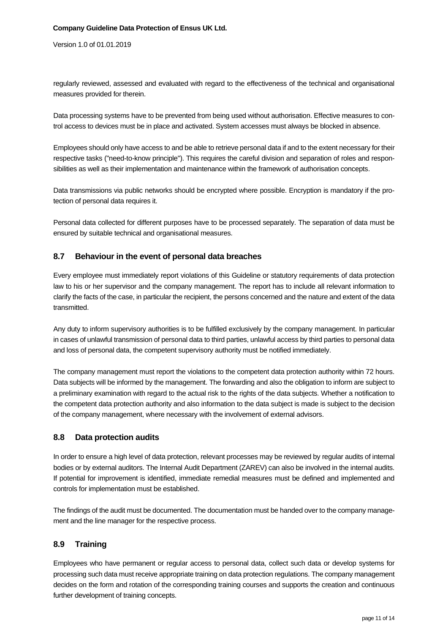Version 1.0 of 01.01.2019

regularly reviewed, assessed and evaluated with regard to the effectiveness of the technical and organisational measures provided for therein.

Data processing systems have to be prevented from being used without authorisation. Effective measures to control access to devices must be in place and activated. System accesses must always be blocked in absence.

Employees should only have access to and be able to retrieve personal data if and to the extent necessary for their respective tasks ("need-to-know principle"). This requires the careful division and separation of roles and responsibilities as well as their implementation and maintenance within the framework of authorisation concepts.

Data transmissions via public networks should be encrypted where possible. Encryption is mandatory if the protection of personal data requires it.

Personal data collected for different purposes have to be processed separately. The separation of data must be ensured by suitable technical and organisational measures.

### <span id="page-10-0"></span>**8.7 Behaviour in the event of personal data breaches**

Every employee must immediately report violations of this Guideline or statutory requirements of data protection law to his or her supervisor and the company management. The report has to include all relevant information to clarify the facts of the case, in particular the recipient, the persons concerned and the nature and extent of the data transmitted.

Any duty to inform supervisory authorities is to be fulfilled exclusively by the company management. In particular in cases of unlawful transmission of personal data to third parties, unlawful access by third parties to personal data and loss of personal data, the competent supervisory authority must be notified immediately.

The company management must report the violations to the competent data protection authority within 72 hours. Data subjects will be informed by the management. The forwarding and also the obligation to inform are subject to a preliminary examination with regard to the actual risk to the rights of the data subjects. Whether a notification to the competent data protection authority and also information to the data subject is made is subject to the decision of the company management, where necessary with the involvement of external advisors.

### <span id="page-10-1"></span>**8.8 Data protection audits**

In order to ensure a high level of data protection, relevant processes may be reviewed by regular audits of internal bodies or by external auditors. The Internal Audit Department (ZAREV) can also be involved in the internal audits. If potential for improvement is identified, immediate remedial measures must be defined and implemented and controls for implementation must be established.

The findings of the audit must be documented. The documentation must be handed over to the company management and the line manager for the respective process.

### <span id="page-10-2"></span>**8.9 Training**

Employees who have permanent or regular access to personal data, collect such data or develop systems for processing such data must receive appropriate training on data protection regulations. The company management decides on the form and rotation of the corresponding training courses and supports the creation and continuous further development of training concepts.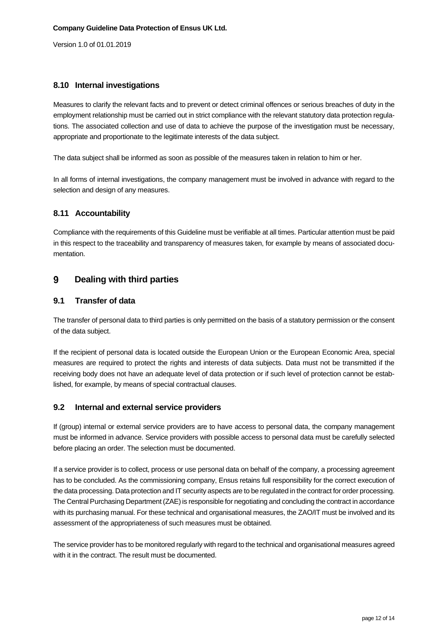### <span id="page-11-0"></span>**8.10 Internal investigations**

Measures to clarify the relevant facts and to prevent or detect criminal offences or serious breaches of duty in the employment relationship must be carried out in strict compliance with the relevant statutory data protection regulations. The associated collection and use of data to achieve the purpose of the investigation must be necessary, appropriate and proportionate to the legitimate interests of the data subject.

The data subject shall be informed as soon as possible of the measures taken in relation to him or her.

In all forms of internal investigations, the company management must be involved in advance with regard to the selection and design of any measures.

### <span id="page-11-1"></span>**8.11 Accountability**

Compliance with the requirements of this Guideline must be verifiable at all times. Particular attention must be paid in this respect to the traceability and transparency of measures taken, for example by means of associated documentation.

#### 9 **Dealing with third parties**

### <span id="page-11-2"></span>**9.1 Transfer of data**

The transfer of personal data to third parties is only permitted on the basis of a statutory permission or the consent of the data subject.

If the recipient of personal data is located outside the European Union or the European Economic Area, special measures are required to protect the rights and interests of data subjects. Data must not be transmitted if the receiving body does not have an adequate level of data protection or if such level of protection cannot be established, for example, by means of special contractual clauses.

### <span id="page-11-3"></span>**9.2 Internal and external service providers**

If (group) internal or external service providers are to have access to personal data, the company management must be informed in advance. Service providers with possible access to personal data must be carefully selected before placing an order. The selection must be documented.

If a service provider is to collect, process or use personal data on behalf of the company, a processing agreement has to be concluded. As the commissioning company, Ensus retains full responsibility for the correct execution of the data processing. Data protection and IT security aspects are to be regulated in the contract for order processing. The Central Purchasing Department (ZAE) is responsible for negotiating and concluding the contract in accordance with its purchasing manual. For these technical and organisational measures, the ZAO/IT must be involved and its assessment of the appropriateness of such measures must be obtained.

The service provider has to be monitored regularly with regard to the technical and organisational measures agreed with it in the contract. The result must be documented.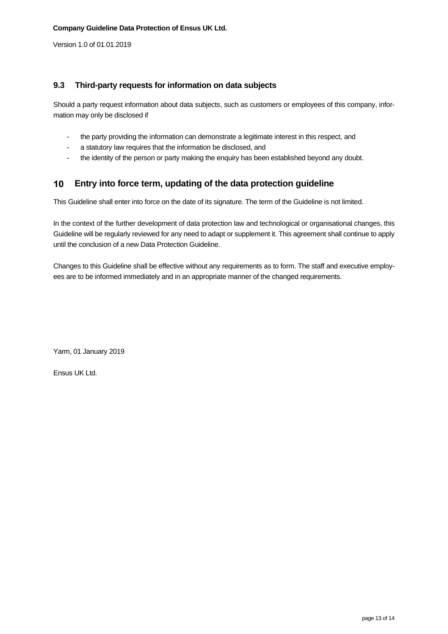### <span id="page-12-0"></span>**9.3 Third-party requests for information on data subjects**

Should a party request information about data subjects, such as customers or employees of this company, information may only be disclosed if

- the party providing the information can demonstrate a legitimate interest in this respect, and
- a statutory law requires that the information be disclosed, and
- the identity of the person or party making the enquiry has been established beyond any doubt.

#### $10<sub>1</sub>$ **Entry into force term, updating of the data protection guideline**

This Guideline shall enter into force on the date of its signature. The term of the Guideline is not limited.

In the context of the further development of data protection law and technological or organisational changes, this Guideline will be regularly reviewed for any need to adapt or supplement it. This agreement shall continue to apply until the conclusion of a new Data Protection Guideline.

Changes to this Guideline shall be effective without any requirements as to form. The staff and executive employees are to be informed immediately and in an appropriate manner of the changed requirements.

Yarm, 01 January 2019

Ensus UK Ltd.